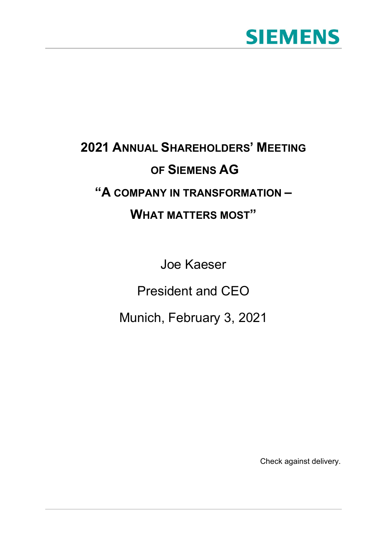## **SIEMENS**

## **2021 ANNUAL SHAREHOLDERS' MEETING OF SIEMENS AG "A COMPANY IN TRANSFORMATION – WHAT MATTERS MOST"**

Joe Kaeser

President and CEO

Munich, February 3, 2021

Check against delivery.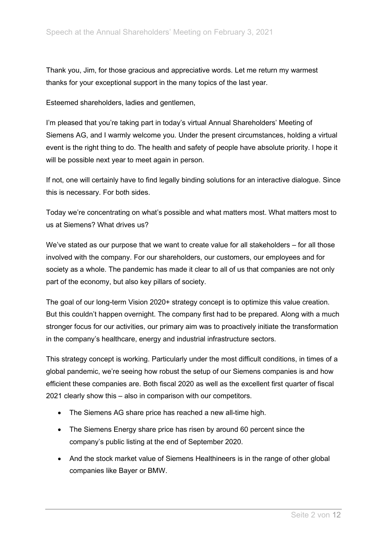Thank you, Jim, for those gracious and appreciative words. Let me return my warmest thanks for your exceptional support in the many topics of the last year.

Esteemed shareholders, ladies and gentlemen,

I'm pleased that you're taking part in today's virtual Annual Shareholders' Meeting of Siemens AG, and I warmly welcome you. Under the present circumstances, holding a virtual event is the right thing to do. The health and safety of people have absolute priority. I hope it will be possible next year to meet again in person.

If not, one will certainly have to find legally binding solutions for an interactive dialogue. Since this is necessary. For both sides.

Today we're concentrating on what's possible and what matters most. What matters most to us at Siemens? What drives us?

We've stated as our purpose that we want to create value for all stakeholders – for all those involved with the company. For our shareholders, our customers, our employees and for society as a whole. The pandemic has made it clear to all of us that companies are not only part of the economy, but also key pillars of society.

The goal of our long-term Vision 2020+ strategy concept is to optimize this value creation. But this couldn't happen overnight. The company first had to be prepared. Along with a much stronger focus for our activities, our primary aim was to proactively initiate the transformation in the company's healthcare, energy and industrial infrastructure sectors.

This strategy concept is working. Particularly under the most difficult conditions, in times of a global pandemic, we're seeing how robust the setup of our Siemens companies is and how efficient these companies are. Both fiscal 2020 as well as the excellent first quarter of fiscal 2021 clearly show this – also in comparison with our competitors.

- The Siemens AG share price has reached a new all-time high.
- The Siemens Energy share price has risen by around 60 percent since the company's public listing at the end of September 2020.
- And the stock market value of Siemens Healthineers is in the range of other global companies like Bayer or BMW.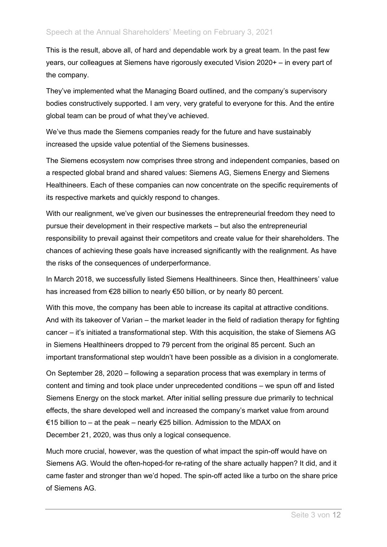This is the result, above all, of hard and dependable work by a great team. In the past few years, our colleagues at Siemens have rigorously executed Vision 2020+ – in every part of the company.

They've implemented what the Managing Board outlined, and the company's supervisory bodies constructively supported. I am very, very grateful to everyone for this. And the entire global team can be proud of what they've achieved.

We've thus made the Siemens companies ready for the future and have sustainably increased the upside value potential of the Siemens businesses.

The Siemens ecosystem now comprises three strong and independent companies, based on a respected global brand and shared values: Siemens AG, Siemens Energy and Siemens Healthineers. Each of these companies can now concentrate on the specific requirements of its respective markets and quickly respond to changes.

With our realignment, we've given our businesses the entrepreneurial freedom they need to pursue their development in their respective markets – but also the entrepreneurial responsibility to prevail against their competitors and create value for their shareholders. The chances of achieving these goals have increased significantly with the realignment. As have the risks of the consequences of underperformance.

In March 2018, we successfully listed Siemens Healthineers. Since then, Healthineers' value has increased from €28 billion to nearly €50 billion, or by nearly 80 percent.

With this move, the company has been able to increase its capital at attractive conditions. And with its takeover of Varian – the market leader in the field of radiation therapy for fighting cancer – it's initiated a transformational step. With this acquisition, the stake of Siemens AG in Siemens Healthineers dropped to 79 percent from the original 85 percent. Such an important transformational step wouldn't have been possible as a division in a conglomerate.

On September 28, 2020 – following a separation process that was exemplary in terms of content and timing and took place under unprecedented conditions – we spun off and listed Siemens Energy on the stock market. After initial selling pressure due primarily to technical effects, the share developed well and increased the company's market value from around €15 billion to – at the peak – nearly €25 billion. Admission to the MDAX on December 21, 2020, was thus only a logical consequence.

Much more crucial, however, was the question of what impact the spin-off would have on Siemens AG. Would the often-hoped-for re-rating of the share actually happen? It did, and it came faster and stronger than we'd hoped. The spin-off acted like a turbo on the share price of Siemens AG.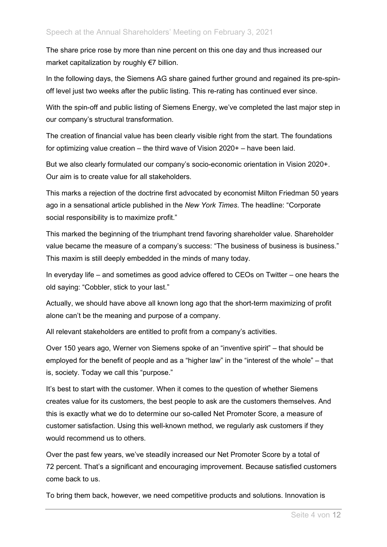The share price rose by more than nine percent on this one day and thus increased our market capitalization by roughly €7 billion.

In the following days, the Siemens AG share gained further ground and regained its pre-spinoff level just two weeks after the public listing. This re-rating has continued ever since.

With the spin-off and public listing of Siemens Energy, we've completed the last major step in our company's structural transformation.

The creation of financial value has been clearly visible right from the start. The foundations for optimizing value creation – the third wave of Vision 2020+ – have been laid.

But we also clearly formulated our company's socio-economic orientation in Vision 2020+. Our aim is to create value for all stakeholders.

This marks a rejection of the doctrine first advocated by economist Milton Friedman 50 years ago in a sensational article published in the *New York Times*. The headline: "Corporate social responsibility is to maximize profit."

This marked the beginning of the triumphant trend favoring shareholder value. Shareholder value became the measure of a company's success: "The business of business is business." This maxim is still deeply embedded in the minds of many today.

In everyday life – and sometimes as good advice offered to CEOs on Twitter – one hears the old saying: "Cobbler, stick to your last."

Actually, we should have above all known long ago that the short-term maximizing of profit alone can't be the meaning and purpose of a company.

All relevant stakeholders are entitled to profit from a company's activities.

Over 150 years ago, Werner von Siemens spoke of an "inventive spirit" – that should be employed for the benefit of people and as a "higher law" in the "interest of the whole" – that is, society. Today we call this "purpose."

It's best to start with the customer. When it comes to the question of whether Siemens creates value for its customers, the best people to ask are the customers themselves. And this is exactly what we do to determine our so-called Net Promoter Score, a measure of customer satisfaction. Using this well-known method, we regularly ask customers if they would recommend us to others.

Over the past few years, we've steadily increased our Net Promoter Score by a total of 72 percent. That's a significant and encouraging improvement. Because satisfied customers come back to us.

To bring them back, however, we need competitive products and solutions. Innovation is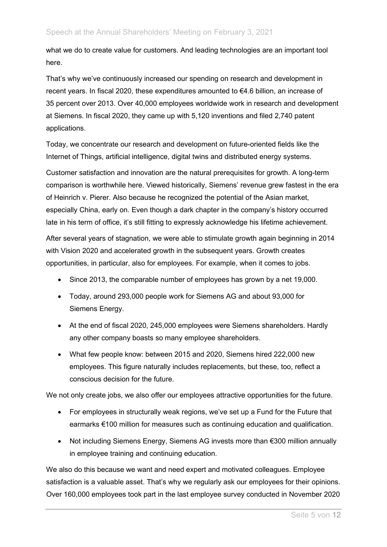what we do to create value for customers. And leading technologies are an important tool here.

That's why we've continuously increased our spending on research and development in recent years. In fiscal 2020, these expenditures amounted to €4.6 billion, an increase of 35 percent over 2013. Over 40,000 employees worldwide work in research and development at Siemens. In fiscal 2020, they came up with 5,120 inventions and filed 2,740 patent applications.

Today, we concentrate our research and development on future-oriented fields like the Internet of Things, artificial intelligence, digital twins and distributed energy systems.

Customer satisfaction and innovation are the natural prerequisites for growth. A long-term comparison is worthwhile here. Viewed historically, Siemens' revenue grew fastest in the era of Heinrich v. Pierer. Also because he recognized the potential of the Asian market, especially China, early on. Even though a dark chapter in the company's history occurred late in his term of office, it's still fitting to expressly acknowledge his lifetime achievement.

After several years of stagnation, we were able to stimulate growth again beginning in 2014 with Vision 2020 and accelerated growth in the subsequent years. Growth creates opportunities, in particular, also for employees. For example, when it comes to jobs.

- Since 2013, the comparable number of employees has grown by a net 19,000.
- Today, around 293,000 people work for Siemens AG and about 93,000 for Siemens Energy.
- At the end of fiscal 2020, 245,000 employees were Siemens shareholders. Hardly any other company boasts so many employee shareholders.
- What few people know: between 2015 and 2020, Siemens hired 222,000 new employees. This figure naturally includes replacements, but these, too, reflect a conscious decision for the future.

We not only create jobs, we also offer our employees attractive opportunities for the future.

- For employees in structurally weak regions, we've set up a Fund for the Future that earmarks €100 million for measures such as continuing education and qualification.
- Not including Siemens Energy, Siemens AG invests more than €300 million annually in employee training and continuing education.

We also do this because we want and need expert and motivated colleagues. Employee satisfaction is a valuable asset. That's why we regularly ask our employees for their opinions. Over 160,000 employees took part in the last employee survey conducted in November 2020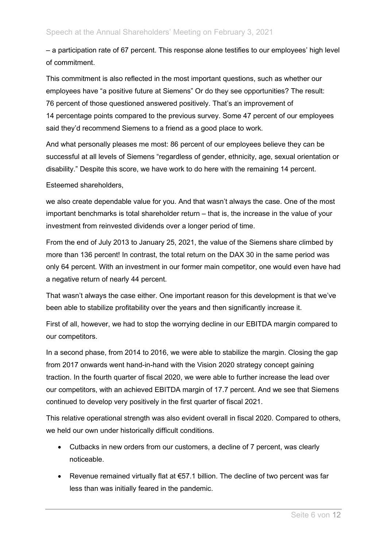– a participation rate of 67 percent. This response alone testifies to our employees' high level of commitment.

This commitment is also reflected in the most important questions, such as whether our employees have "a positive future at Siemens" Or do they see opportunities? The result: 76 percent of those questioned answered positively. That's an improvement of 14 percentage points compared to the previous survey. Some 47 percent of our employees said they'd recommend Siemens to a friend as a good place to work.

And what personally pleases me most: 86 percent of our employees believe they can be successful at all levels of Siemens "regardless of gender, ethnicity, age, sexual orientation or disability." Despite this score, we have work to do here with the remaining 14 percent.

Esteemed shareholders,

we also create dependable value for you. And that wasn't always the case. One of the most important benchmarks is total shareholder return – that is, the increase in the value of your investment from reinvested dividends over a longer period of time.

From the end of July 2013 to January 25, 2021, the value of the Siemens share climbed by more than 136 percent! In contrast, the total return on the DAX 30 in the same period was only 64 percent. With an investment in our former main competitor, one would even have had a negative return of nearly 44 percent.

That wasn't always the case either. One important reason for this development is that we've been able to stabilize profitability over the years and then significantly increase it.

First of all, however, we had to stop the worrying decline in our EBITDA margin compared to our competitors.

In a second phase, from 2014 to 2016, we were able to stabilize the margin. Closing the gap from 2017 onwards went hand-in-hand with the Vision 2020 strategy concept gaining traction. In the fourth quarter of fiscal 2020, we were able to further increase the lead over our competitors, with an achieved EBITDA margin of 17.7 percent. And we see that Siemens continued to develop very positively in the first quarter of fiscal 2021.

This relative operational strength was also evident overall in fiscal 2020. Compared to others, we held our own under historically difficult conditions.

- Cutbacks in new orders from our customers, a decline of 7 percent, was clearly noticeable.
- Revenue remained virtually flat at €57.1 billion. The decline of two percent was far less than was initially feared in the pandemic.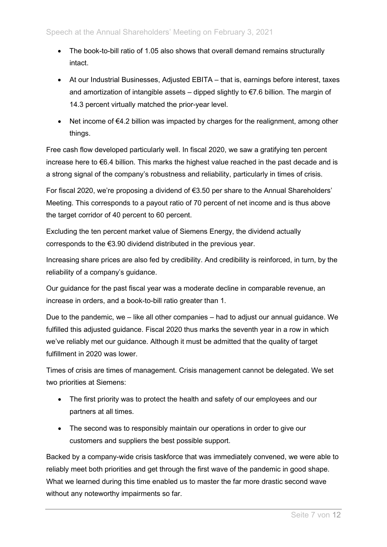- The book-to-bill ratio of 1.05 also shows that overall demand remains structurally intact.
- At our Industrial Businesses, Adjusted EBITA that is, earnings before interest, taxes and amortization of intangible assets – dipped slightly to  $\epsilon$ 7.6 billion. The margin of 14.3 percent virtually matched the prior-year level.
- Net income of €4.2 billion was impacted by charges for the realignment, among other things.

Free cash flow developed particularly well. In fiscal 2020, we saw a gratifying ten percent increase here to €6.4 billion. This marks the highest value reached in the past decade and is a strong signal of the company's robustness and reliability, particularly in times of crisis.

For fiscal 2020, we're proposing a dividend of €3.50 per share to the Annual Shareholders' Meeting. This corresponds to a payout ratio of 70 percent of net income and is thus above the target corridor of 40 percent to 60 percent.

Excluding the ten percent market value of Siemens Energy, the dividend actually corresponds to the €3.90 dividend distributed in the previous year.

Increasing share prices are also fed by credibility. And credibility is reinforced, in turn, by the reliability of a company's guidance.

Our guidance for the past fiscal year was a moderate decline in comparable revenue, an increase in orders, and a book-to-bill ratio greater than 1.

Due to the pandemic, we – like all other companies – had to adjust our annual guidance. We fulfilled this adjusted guidance. Fiscal 2020 thus marks the seventh year in a row in which we've reliably met our guidance. Although it must be admitted that the quality of target fulfillment in 2020 was lower.

Times of crisis are times of management. Crisis management cannot be delegated. We set two priorities at Siemens:

- The first priority was to protect the health and safety of our employees and our partners at all times.
- The second was to responsibly maintain our operations in order to give our customers and suppliers the best possible support.

Backed by a company-wide crisis taskforce that was immediately convened, we were able to reliably meet both priorities and get through the first wave of the pandemic in good shape. What we learned during this time enabled us to master the far more drastic second wave without any noteworthy impairments so far.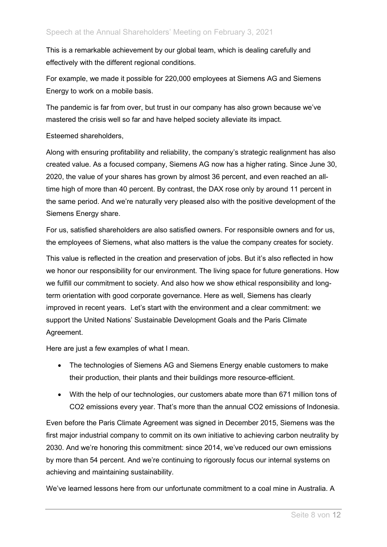This is a remarkable achievement by our global team, which is dealing carefully and effectively with the different regional conditions.

For example, we made it possible for 220,000 employees at Siemens AG and Siemens Energy to work on a mobile basis.

The pandemic is far from over, but trust in our company has also grown because we've mastered the crisis well so far and have helped society alleviate its impact.

Esteemed shareholders,

Along with ensuring profitability and reliability, the company's strategic realignment has also created value. As a focused company, Siemens AG now has a higher rating. Since June 30, 2020, the value of your shares has grown by almost 36 percent, and even reached an alltime high of more than 40 percent. By contrast, the DAX rose only by around 11 percent in the same period. And we're naturally very pleased also with the positive development of the Siemens Energy share.

For us, satisfied shareholders are also satisfied owners. For responsible owners and for us, the employees of Siemens, what also matters is the value the company creates for society.

This value is reflected in the creation and preservation of jobs. But it's also reflected in how we honor our responsibility for our environment. The living space for future generations. How we fulfill our commitment to society. And also how we show ethical responsibility and longterm orientation with good corporate governance. Here as well, Siemens has clearly improved in recent years. Let's start with the environment and a clear commitment: we support the United Nations' Sustainable Development Goals and the Paris Climate Agreement.

Here are just a few examples of what I mean.

- The technologies of Siemens AG and Siemens Energy enable customers to make their production, their plants and their buildings more resource-efficient.
- With the help of our technologies, our customers abate more than 671 million tons of CO2 emissions every year. That's more than the annual CO2 emissions of Indonesia.

Even before the Paris Climate Agreement was signed in December 2015, Siemens was the first major industrial company to commit on its own initiative to achieving carbon neutrality by 2030. And we're honoring this commitment: since 2014, we've reduced our own emissions by more than 54 percent. And we're continuing to rigorously focus our internal systems on achieving and maintaining sustainability.

We've learned lessons here from our unfortunate commitment to a coal mine in Australia. A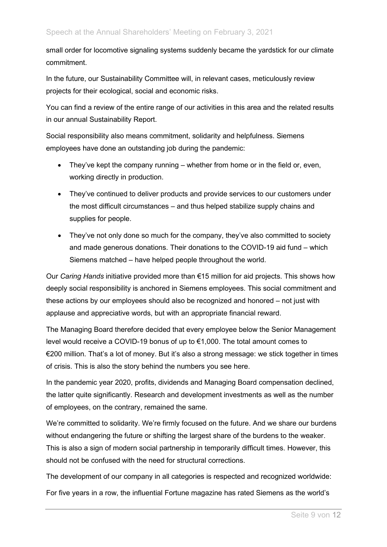small order for locomotive signaling systems suddenly became the yardstick for our climate commitment.

In the future, our Sustainability Committee will, in relevant cases, meticulously review projects for their ecological, social and economic risks.

You can find a review of the entire range of our activities in this area and the related results in our annual Sustainability Report.

Social responsibility also means commitment, solidarity and helpfulness. Siemens employees have done an outstanding job during the pandemic:

- They've kept the company running whether from home or in the field or, even, working directly in production.
- They've continued to deliver products and provide services to our customers under the most difficult circumstances – and thus helped stabilize supply chains and supplies for people.
- They've not only done so much for the company, they've also committed to society and made generous donations. Their donations to the COVID-19 aid fund – which Siemens matched – have helped people throughout the world.

Our *Caring Hands* initiative provided more than €15 million for aid projects. This shows how deeply social responsibility is anchored in Siemens employees. This social commitment and these actions by our employees should also be recognized and honored – not just with applause and appreciative words, but with an appropriate financial reward.

The Managing Board therefore decided that every employee below the Senior Management level would receive a COVID-19 bonus of up to €1,000. The total amount comes to €200 million. That's a lot of money. But it's also a strong message: we stick together in times of crisis. This is also the story behind the numbers you see here.

In the pandemic year 2020, profits, dividends and Managing Board compensation declined, the latter quite significantly. Research and development investments as well as the number of employees, on the contrary, remained the same.

We're committed to solidarity. We're firmly focused on the future. And we share our burdens without endangering the future or shifting the largest share of the burdens to the weaker. This is also a sign of modern social partnership in temporarily difficult times. However, this should not be confused with the need for structural corrections.

The development of our company in all categories is respected and recognized worldwide:

For five years in a row, the influential Fortune magazine has rated Siemens as the world's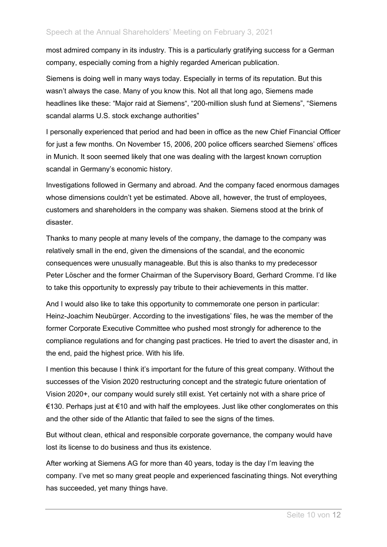most admired company in its industry. This is a particularly gratifying success for a German company, especially coming from a highly regarded American publication.

Siemens is doing well in many ways today. Especially in terms of its reputation. But this wasn't always the case. Many of you know this. Not all that long ago, Siemens made headlines like these: "Major raid at Siemens", "200-million slush fund at Siemens", "Siemens scandal alarms U.S. stock exchange authorities"

I personally experienced that period and had been in office as the new Chief Financial Officer for just a few months. On November 15, 2006, 200 police officers searched Siemens' offices in Munich. It soon seemed likely that one was dealing with the largest known corruption scandal in Germany's economic history.

Investigations followed in Germany and abroad. And the company faced enormous damages whose dimensions couldn't yet be estimated. Above all, however, the trust of employees, customers and shareholders in the company was shaken. Siemens stood at the brink of disaster.

Thanks to many people at many levels of the company, the damage to the company was relatively small in the end, given the dimensions of the scandal, and the economic consequences were unusually manageable. But this is also thanks to my predecessor Peter Löscher and the former Chairman of the Supervisory Board, Gerhard Cromme. I'd like to take this opportunity to expressly pay tribute to their achievements in this matter.

And I would also like to take this opportunity to commemorate one person in particular: Heinz-Joachim Neubürger. According to the investigations' files, he was the member of the former Corporate Executive Committee who pushed most strongly for adherence to the compliance regulations and for changing past practices. He tried to avert the disaster and, in the end, paid the highest price. With his life.

I mention this because I think it's important for the future of this great company. Without the successes of the Vision 2020 restructuring concept and the strategic future orientation of Vision 2020+, our company would surely still exist. Yet certainly not with a share price of €130. Perhaps just at €10 and with half the employees. Just like other conglomerates on this and the other side of the Atlantic that failed to see the signs of the times.

But without clean, ethical and responsible corporate governance, the company would have lost its license to do business and thus its existence.

After working at Siemens AG for more than 40 years, today is the day I'm leaving the company. I've met so many great people and experienced fascinating things. Not everything has succeeded, yet many things have.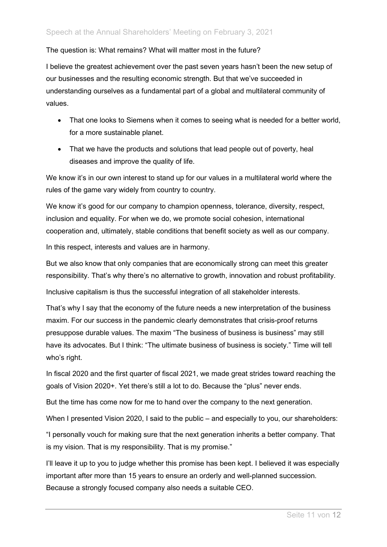## The question is: What remains? What will matter most in the future?

I believe the greatest achievement over the past seven years hasn't been the new setup of our businesses and the resulting economic strength. But that we've succeeded in understanding ourselves as a fundamental part of a global and multilateral community of values.

- That one looks to Siemens when it comes to seeing what is needed for a better world, for a more sustainable planet.
- That we have the products and solutions that lead people out of poverty, heal diseases and improve the quality of life.

We know it's in our own interest to stand up for our values in a multilateral world where the rules of the game vary widely from country to country.

We know it's good for our company to champion openness, tolerance, diversity, respect, inclusion and equality. For when we do, we promote social cohesion, international cooperation and, ultimately, stable conditions that benefit society as well as our company.

In this respect, interests and values are in harmony.

But we also know that only companies that are economically strong can meet this greater responsibility. That's why there's no alternative to growth, innovation and robust profitability.

Inclusive capitalism is thus the successful integration of all stakeholder interests.

That's why I say that the economy of the future needs a new interpretation of the business maxim. For our success in the pandemic clearly demonstrates that crisis-proof returns presuppose durable values. The maxim "The business of business is business" may still have its advocates. But I think: "The ultimate business of business is society." Time will tell who's right.

In fiscal 2020 and the first quarter of fiscal 2021, we made great strides toward reaching the goals of Vision 2020+. Yet there's still a lot to do. Because the "plus" never ends.

But the time has come now for me to hand over the company to the next generation.

When I presented Vision 2020, I said to the public – and especially to you, our shareholders:

"I personally vouch for making sure that the next generation inherits a better company. That is my vision. That is my responsibility. That is my promise."

I'll leave it up to you to judge whether this promise has been kept. I believed it was especially important after more than 15 years to ensure an orderly and well-planned succession. Because a strongly focused company also needs a suitable CEO.